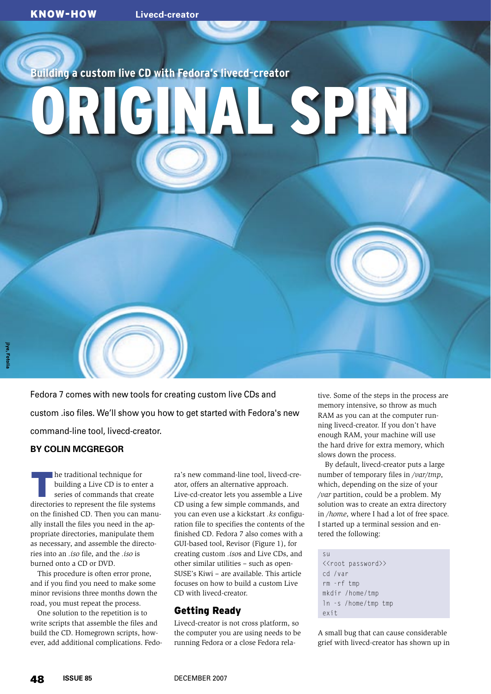**Building a custom live CD with Fedora's livecd-creator**

# ORIGINAL SPIN

Fedora 7 comes with new tools for creating custom live CDs and custom .iso files. We'll show you how to get started with Fedora's new command-line tool, livecd-creator.

## **BY COLIN MCGREGOR**

The traditional technique for<br>building a Live CD is to enter<br>series of commands that cre building a Live CD is to enter a series of commands that create directories to represent the file systems on the finished CD. Then you can manually install the files you need in the appropriate directories, manipulate them as necessary, and assemble the directories into an *.iso* file, and the *.iso* is burned onto a CD or DVD.

This procedure is often error prone, and if you find you need to make some minor revisions three months down the road, you must repeat the process.

One solution to the repetition is to write scripts that assemble the files and build the CD. Homegrown scripts, however, add additional complications. Fedora's new command-line tool, livecd-creator, offers an alternative approach. Live-cd-creator lets you assemble a Live CD using a few simple commands, and you can even use a kickstart *.ks* configuration file to specifies the contents of the finished CD. Fedora 7 also comes with a GUI-based tool, Revisor (Figure 1), for creating custom *.iso*s and Live CDs, and other similar utilities – such as open-SUSE's Kiwi – are available. This article focuses on how to build a custom Live CD with livecd-creator.

# Getting Ready

Livecd-creator is not cross platform, so the computer you are using needs to be running Fedora or a close Fedora relative. Some of the steps in the process are memory intensive, so throw as much RAM as you can at the computer running livecd-creator. If you don't have enough RAM, your machine will use the hard drive for extra memory, which slows down the process.

By default, livecd-creator puts a large number of temporary files in */var/tmp*, which, depending on the size of your */var* partition, could be a problem. My solution was to create an extra directory in */home*, where I had a lot of free space. I started up a terminal session and entered the following:

su <<root password>> cd /var rm -rf tmp mkdir /home/tmp ln -s /home/tmp tmp exit

A small bug that can cause considerable grief with livecd-creator has shown up in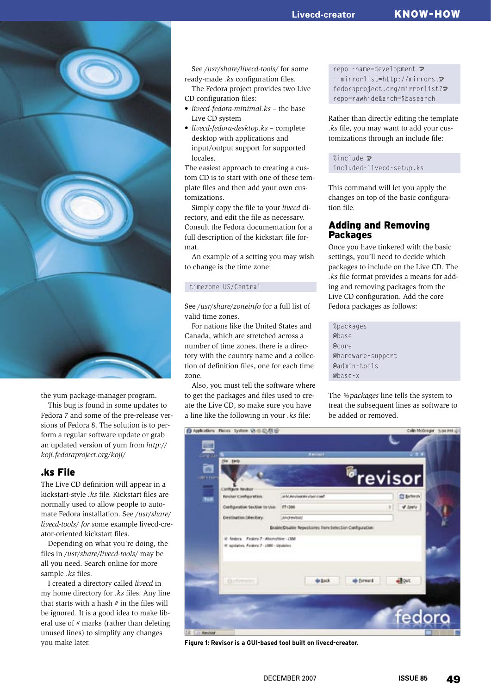

the yum package-manager program.

This bug is found in some updates to Fedora 7 and some of the pre-release versions of Fedora 8. The solution is to perform a regular software update or grab an updated version of yum from *http:// koji.fedoraproject.org/koji/*

# .ks File

The Live CD definition will appear in a kickstart-style *.ks* file. Kickstart files are normally used to allow people to automate Fedora installation. See */usr/share/ livecd-tools/ for s*ome example livecd-creator-oriented kickstart files.

Depending on what you're doing, the files in */usr/share/livecd-tools/* may be all you need. Search online for more sample *.ks* files.

I created a directory called *livecd* in my home directory for *.ks* files. Any line that starts with a hash *#* in the files will be ignored. It is a good idea to make liberal use of *#* marks (rather than deleting unused lines) to simplify any changes you make later.

See */usr/share/livecd-tools/* for some ready-made *.ks* configuration files.

The Fedora project provides two Live CD configuration files:

- *livecd-fedora-minimal.ks* the base Live CD system
- *livecd-fedora-desktop.ks* complete desktop with applications and input/output support for supported locales.

The easiest approach to creating a custom CD is to start with one of these template files and then add your own customizations.

Simply copy the file to your *livecd* directory, and edit the file as necessary. Consult the Fedora documentation for a full description of the kickstart file format.

An example of a setting you may wish to change is the time zone:

### timezone US/Central

See */usr/share/zoneinfo* for a full list of valid time zones.

For nations like the United States and Canada, which are stretched across a number of time zones, there is a directory with the country name and a collection of definition files, one for each time zone.

Also, you must tell the software where to get the packages and files used to create the Live CD, so make sure you have a line like the following in your *.ks* file:

repo -name=development  $\mathbf{z}$ --mirrorlist=http://mirrors.<sup>2</sup> fedoraproject.org/mirrorlist?<sup>2</sup> repo=rawhide&arch=\$basearch

Rather than directly editing the template *.ks* file, you may want to add your customizations through an include file:

%include  $\overline{z}$ included-livecd-setup.ks

This command will let you apply the changes on top of the basic configuration file.

# Adding and Removing Packages

Once you have tinkered with the basic settings, you'll need to decide which packages to include on the Live CD. The *.ks* file format provides a means for adding and removing packages from the Live CD configuration. Add the core Fedora packages as follows:

%packages @base @core @hardware-support @admin-tools @base-x

The *%packages* line tells the system to treat the subsequent lines as software to be added or removed.



Figure 1: Revisor is a GUI-based tool built on livecd-creator.<br>DECEMBER 2007 **ISSUE 85**